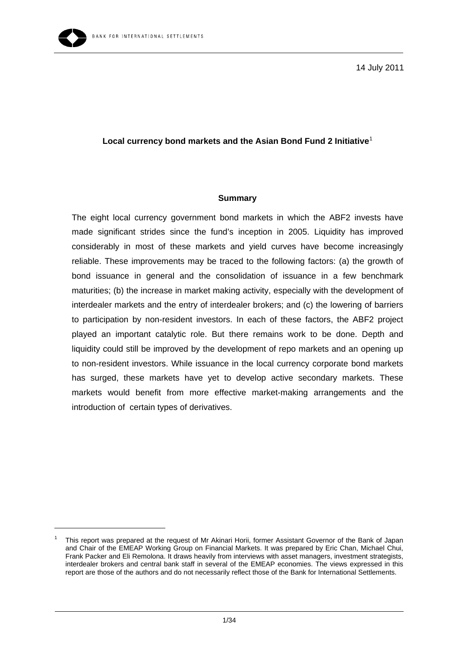

-

14 July 2011

## **Local currency bond markets and the Asian Bond Fund 2 Initiative**[1](#page-0-0)

#### **Summary**

The eight local currency government bond markets in which the ABF2 invests have made significant strides since the fund's inception in 2005. Liquidity has improved considerably in most of these markets and yield curves have become increasingly reliable. These improvements may be traced to the following factors: (a) the growth of bond issuance in general and the consolidation of issuance in a few benchmark maturities; (b) the increase in market making activity, especially with the development of interdealer markets and the entry of interdealer brokers; and (c) the lowering of barriers to participation by non-resident investors. In each of these factors, the ABF2 project played an important catalytic role. But there remains work to be done. Depth and liquidity could still be improved by the development of repo markets and an opening up to non-resident investors. While issuance in the local currency corporate bond markets has surged, these markets have yet to develop active secondary markets. These markets would benefit from more effective market-making arrangements and the introduction of certain types of derivatives.

<span id="page-0-0"></span><sup>1</sup> This report was prepared at the request of Mr Akinari Horii, former Assistant Governor of the Bank of Japan and Chair of the EMEAP Working Group on Financial Markets. It was prepared by Eric Chan, Michael Chui, Frank Packer and Eli Remolona. It draws heavily from interviews with asset managers, investment strategists, interdealer brokers and central bank staff in several of the EMEAP economies. The views expressed in this report are those of the authors and do not necessarily reflect those of the Bank for International Settlements.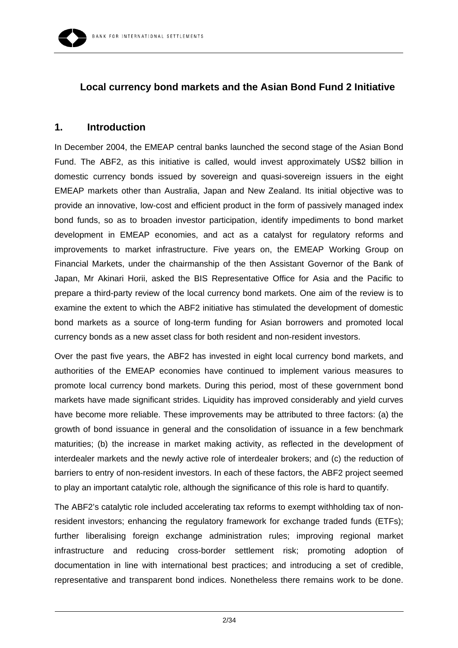# **Local currency bond markets and the Asian Bond Fund 2 Initiative**

## **1. Introduction**

In December 2004, the EMEAP central banks launched the second stage of the Asian Bond Fund. The ABF2, as this initiative is called, would invest approximately US\$2 billion in domestic currency bonds issued by sovereign and quasi-sovereign issuers in the eight EMEAP markets other than Australia, Japan and New Zealand. Its initial objective was to provide an innovative, low-cost and efficient product in the form of passively managed index bond funds, so as to broaden investor participation, identify impediments to bond market development in EMEAP economies, and act as a catalyst for regulatory reforms and improvements to market infrastructure. Five years on, the EMEAP Working Group on Financial Markets, under the chairmanship of the then Assistant Governor of the Bank of Japan, Mr Akinari Horii, asked the BIS Representative Office for Asia and the Pacific to prepare a third-party review of the local currency bond markets. One aim of the review is to examine the extent to which the ABF2 initiative has stimulated the development of domestic bond markets as a source of long-term funding for Asian borrowers and promoted local currency bonds as a new asset class for both resident and non-resident investors.

Over the past five years, the ABF2 has invested in eight local currency bond markets, and authorities of the EMEAP economies have continued to implement various measures to promote local currency bond markets. During this period, most of these government bond markets have made significant strides. Liquidity has improved considerably and yield curves have become more reliable. These improvements may be attributed to three factors: (a) the growth of bond issuance in general and the consolidation of issuance in a few benchmark maturities; (b) the increase in market making activity, as reflected in the development of interdealer markets and the newly active role of interdealer brokers; and (c) the reduction of barriers to entry of non-resident investors. In each of these factors, the ABF2 project seemed to play an important catalytic role, although the significance of this role is hard to quantify.

The ABF2's catalytic role included accelerating tax reforms to exempt withholding tax of nonresident investors; enhancing the regulatory framework for exchange traded funds (ETFs); further liberalising foreign exchange administration rules; improving regional market infrastructure and reducing cross-border settlement risk; promoting adoption of documentation in line with international best practices; and introducing a set of credible, representative and transparent bond indices. Nonetheless there remains work to be done.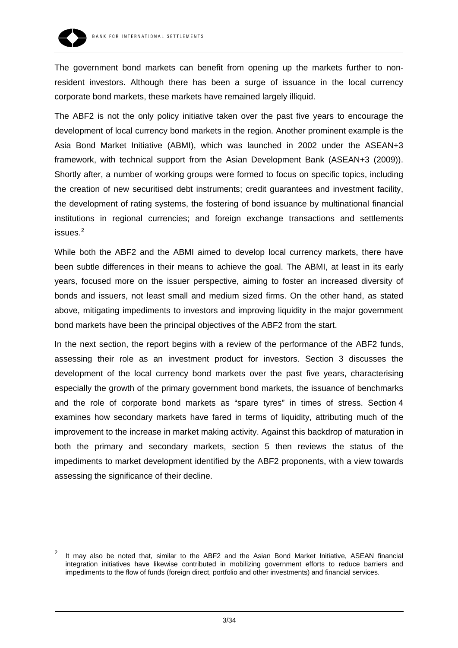

-

The government bond markets can benefit from opening up the markets further to nonresident investors. Although there has been a surge of issuance in the local currency corporate bond markets, these markets have remained largely illiquid.

The ABF2 is not the only policy initiative taken over the past five years to encourage the development of local currency bond markets in the region. Another prominent example is the Asia Bond Market Initiative (ABMI), which was launched in 2002 under the ASEAN+3 framework, with technical support from the Asian Development Bank (ASEAN+3 (2009)). Shortly after, a number of working groups were formed to focus on specific topics, including the creation of new securitised debt instruments; credit guarantees and investment facility, the development of rating systems, the fostering of bond issuance by multinational financial institutions in regional currencies; and foreign exchange transactions and settlements issues.<sup>[2](#page-2-0)</sup>

While both the ABF2 and the ABMI aimed to develop local currency markets, there have been subtle differences in their means to achieve the goal. The ABMI, at least in its early years, focused more on the issuer perspective, aiming to foster an increased diversity of bonds and issuers, not least small and medium sized firms. On the other hand, as stated above, mitigating impediments to investors and improving liquidity in the major government bond markets have been the principal objectives of the ABF2 from the start.

In the next section, the report begins with a review of the performance of the ABF2 funds, assessing their role as an investment product for investors. Section 3 discusses the development of the local currency bond markets over the past five years, characterising especially the growth of the primary government bond markets, the issuance of benchmarks and the role of corporate bond markets as "spare tyres" in times of stress. Section 4 examines how secondary markets have fared in terms of liquidity, attributing much of the improvement to the increase in market making activity. Against this backdrop of maturation in both the primary and secondary markets, section 5 then reviews the status of the impediments to market development identified by the ABF2 proponents, with a view towards assessing the significance of their decline.

<span id="page-2-0"></span>It may also be noted that, similar to the ABF2 and the Asian Bond Market Initiative, ASEAN financial integration initiatives have likewise contributed in mobilizing government efforts to reduce barriers and impediments to the flow of funds (foreign direct, portfolio and other investments) and financial services.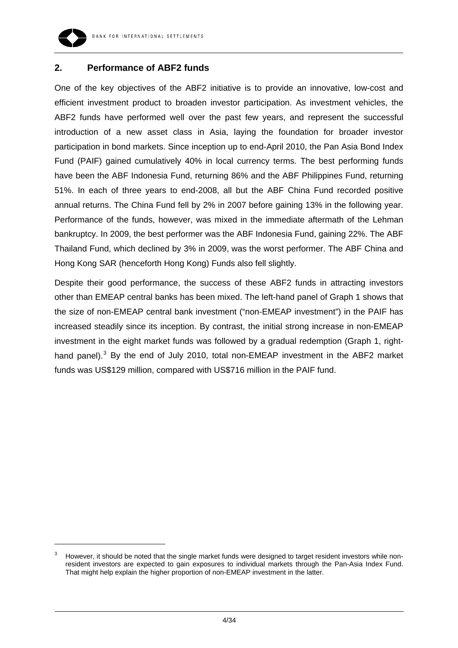

-

## **2. Performance of ABF2 funds**

One of the key objectives of the ABF2 initiative is to provide an innovative, low-cost and efficient investment product to broaden investor participation. As investment vehicles, the ABF2 funds have performed well over the past few years, and represent the successful introduction of a new asset class in Asia, laying the foundation for broader investor participation in bond markets. Since inception up to end-April 2010, the Pan Asia Bond Index Fund (PAIF) gained cumulatively 40% in local currency terms. The best performing funds have been the ABF Indonesia Fund, returning 86% and the ABF Philippines Fund, returning 51%. In each of three years to end-2008, all but the ABF China Fund recorded positive annual returns. The China Fund fell by 2% in 2007 before gaining 13% in the following year. Performance of the funds, however, was mixed in the immediate aftermath of the Lehman bankruptcy. In 2009, the best performer was the ABF Indonesia Fund, gaining 22%. The ABF Thailand Fund, which declined by 3% in 2009, was the worst performer. The ABF China and Hong Kong SAR (henceforth Hong Kong) Funds also fell slightly.

Despite their good performance, the success of these ABF2 funds in attracting investors other than EMEAP central banks has been mixed. The left-hand panel of Graph 1 shows that the size of non-EMEAP central bank investment ("non-EMEAP investment") in the PAIF has increased steadily since its inception. By contrast, the initial strong increase in non-EMEAP investment in the eight market funds was followed by a gradual redemption (Graph 1, right-hand panel).<sup>[3](#page-3-0)</sup> By the end of July 2010, total non-EMEAP investment in the ABF2 market funds was US\$129 million, compared with US\$716 million in the PAIF fund.

<span id="page-3-0"></span><sup>3</sup> However, it should be noted that the single market funds were designed to target resident investors while nonresident investors are expected to gain exposures to individual markets through the Pan-Asia Index Fund. That might help explain the higher proportion of non-EMEAP investment in the latter.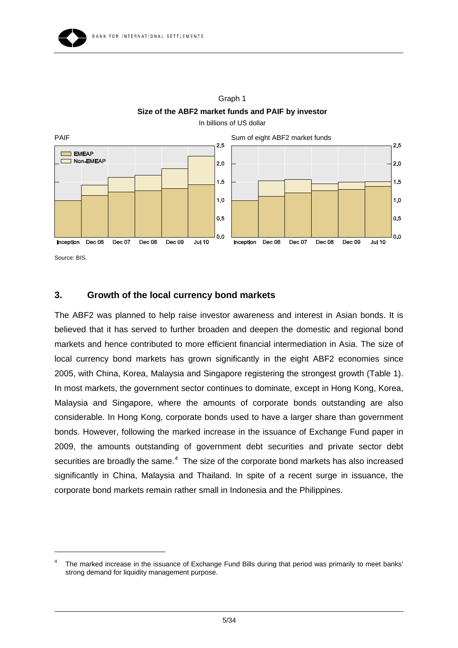

Graph 1 **Size of the ABF2 market funds and PAIF by investor**  In billions of US dollar

Source: BIS.

 $\overline{a}$ 

# **3. Growth of the local currency bond markets**

The ABF2 was planned to help raise investor awareness and interest in Asian bonds. It is believed that it has served to further broaden and deepen the domestic and regional bond markets and hence contributed to more efficient financial intermediation in Asia. The size of local currency bond markets has grown significantly in the eight ABF2 economies since 2005, with China, Korea, Malaysia and Singapore registering the strongest growth (Table 1). In most markets, the government sector continues to dominate, except in Hong Kong, Korea, Malaysia and Singapore, where the amounts of corporate bonds outstanding are also considerable. In Hong Kong, corporate bonds used to have a larger share than government bonds. However, following the marked increase in the issuance of Exchange Fund paper in 2009, the amounts outstanding of government debt securities and private sector debt securities are broadly the same. $4$  The size of the corporate bond markets has also increased significantly in China, Malaysia and Thailand. In spite of a recent surge in issuance, the corporate bond markets remain rather small in Indonesia and the Philippines.

<span id="page-4-0"></span><sup>4</sup> The marked increase in the issuance of Exchange Fund Bills during that period was primarily to meet banks' strong demand for liquidity management purpose.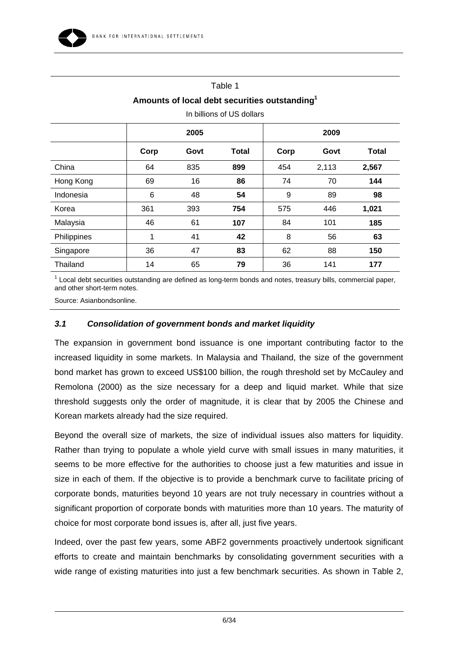# Table 1 **Amounts of local debt securities outstanding1**

|             |      | 2005 |              | 2009 |       |              |
|-------------|------|------|--------------|------|-------|--------------|
|             | Corp | Govt | <b>Total</b> | Corp | Govt  | <b>Total</b> |
| China       | 64   | 835  | 899          | 454  | 2,113 | 2,567        |
| Hong Kong   | 69   | 16   | 86           | 74   | 70    | 144          |
| Indonesia   | 6    | 48   | 54           | 9    | 89    | 98           |
| Korea       | 361  | 393  | 754          | 575  | 446   | 1,021        |
| Malaysia    | 46   | 61   | 107          | 84   | 101   | 185          |
| Philippines | 1    | 41   | 42           | 8    | 56    | 63           |
| Singapore   | 36   | 47   | 83           | 62   | 88    | 150          |
| Thailand    | 14   | 65   | 79           | 36   | 141   | 177          |

In billions of US dollars

 $1$  Local debt securities outstanding are defined as long-term bonds and notes, treasury bills, commercial paper, and other short-term notes.

Source: Asianbondsonline.

## *3.1 Consolidation of government bonds and market liquidity*

The expansion in government bond issuance is one important contributing factor to the increased liquidity in some markets. In Malaysia and Thailand, the size of the government bond market has grown to exceed US\$100 billion, the rough threshold set by McCauley and Remolona (2000) as the size necessary for a deep and liquid market. While that size threshold suggests only the order of magnitude, it is clear that by 2005 the Chinese and Korean markets already had the size required.

Beyond the overall size of markets, the size of individual issues also matters for liquidity. Rather than trying to populate a whole yield curve with small issues in many maturities, it seems to be more effective for the authorities to choose just a few maturities and issue in size in each of them. If the objective is to provide a benchmark curve to facilitate pricing of corporate bonds, maturities beyond 10 years are not truly necessary in countries without a significant proportion of corporate bonds with maturities more than 10 years. The maturity of choice for most corporate bond issues is, after all, just five years.

Indeed, over the past few years, some ABF2 governments proactively undertook significant efforts to create and maintain benchmarks by consolidating government securities with a wide range of existing maturities into just a few benchmark securities. As shown in Table 2,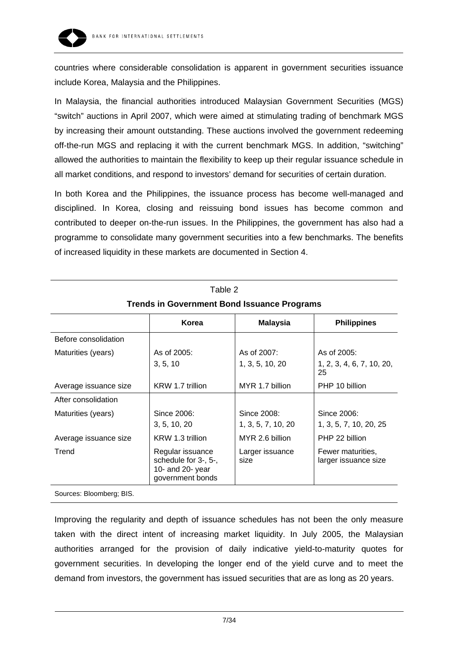

countries where considerable consolidation is apparent in government securities issuance include Korea, Malaysia and the Philippines.

In Malaysia, the financial authorities introduced Malaysian Government Securities (MGS) "switch" auctions in April 2007, which were aimed at stimulating trading of benchmark MGS by increasing their amount outstanding. These auctions involved the government redeeming off-the-run MGS and replacing it with the current benchmark MGS. In addition, "switching" allowed the authorities to maintain the flexibility to keep up their regular issuance schedule in all market conditions, and respond to investors' demand for securities of certain duration.

In both Korea and the Philippines, the issuance process has become well-managed and disciplined. In Korea, closing and reissuing bond issues has become common and contributed to deeper on-the-run issues. In the Philippines, the government has also had a programme to consolidate many government securities into a few benchmarks. The benefits of increased liquidity in these markets are documented in Section 4.

Table 2

| <b>Trends in Government Bond Issuance Programs</b> |                                                                                  |                         |                                           |  |  |  |
|----------------------------------------------------|----------------------------------------------------------------------------------|-------------------------|-------------------------------------------|--|--|--|
|                                                    | Korea                                                                            | <b>Malaysia</b>         | <b>Philippines</b>                        |  |  |  |
| Before consolidation                               |                                                                                  |                         |                                           |  |  |  |
| Maturities (years)                                 | As of 2005:                                                                      | As of 2007:             | As of 2005:                               |  |  |  |
|                                                    | 3, 5, 10                                                                         | 1, 3, 5, 10, 20         | 1, 2, 3, 4, 6, 7, 10, 20,<br>25           |  |  |  |
| Average issuance size                              | KRW 1.7 trillion                                                                 | MYR 1.7 billion         | PHP 10 billion                            |  |  |  |
| After consolidation                                |                                                                                  |                         |                                           |  |  |  |
| Maturities (years)                                 | Since 2006:                                                                      | Since 2008:             | Since 2006:                               |  |  |  |
|                                                    | 3, 5, 10, 20                                                                     | 1, 3, 5, 7, 10, 20      | 1, 3, 5, 7, 10, 20, 25                    |  |  |  |
| Average issuance size                              | KRW 1.3 trillion                                                                 | MYR 2.6 billion         | PHP 22 billion                            |  |  |  |
| Trend                                              | Regular issuance<br>schedule for 3-, 5-,<br>10- and 20- year<br>government bonds | Larger issuance<br>size | Fewer maturities,<br>larger issuance size |  |  |  |

Sources: Bloomberg; BIS.

Improving the regularity and depth of issuance schedules has not been the only measure taken with the direct intent of increasing market liquidity. In July 2005, the Malaysian authorities arranged for the provision of daily indicative yield-to-maturity quotes for government securities. In developing the longer end of the yield curve and to meet the demand from investors, the government has issued securities that are as long as 20 years.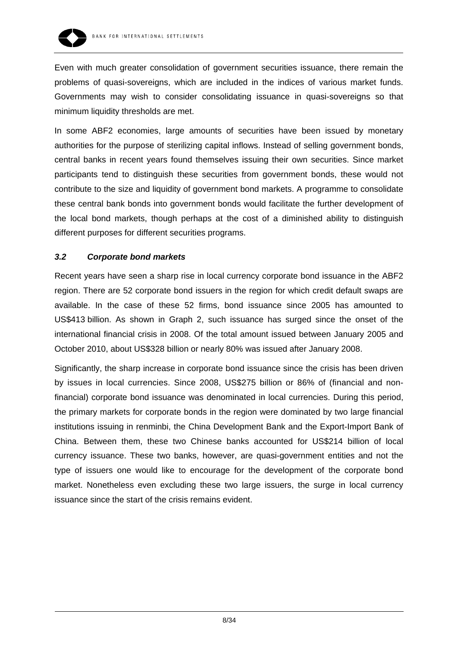

Even with much greater consolidation of government securities issuance, there remain the problems of quasi-sovereigns, which are included in the indices of various market funds. Governments may wish to consider consolidating issuance in quasi-sovereigns so that minimum liquidity thresholds are met.

In some ABF2 economies, large amounts of securities have been issued by monetary authorities for the purpose of sterilizing capital inflows. Instead of selling government bonds, central banks in recent years found themselves issuing their own securities. Since market participants tend to distinguish these securities from government bonds, these would not contribute to the size and liquidity of government bond markets. A programme to consolidate these central bank bonds into government bonds would facilitate the further development of the local bond markets, though perhaps at the cost of a diminished ability to distinguish different purposes for different securities programs.

## *3.2 Corporate bond markets*

Recent years have seen a sharp rise in local currency corporate bond issuance in the ABF2 region. There are 52 corporate bond issuers in the region for which credit default swaps are available. In the case of these 52 firms, bond issuance since 2005 has amounted to US\$413 billion. As shown in Graph 2, such issuance has surged since the onset of the international financial crisis in 2008. Of the total amount issued between January 2005 and October 2010, about US\$328 billion or nearly 80% was issued after January 2008.

Significantly, the sharp increase in corporate bond issuance since the crisis has been driven by issues in local currencies. Since 2008, US\$275 billion or 86% of (financial and nonfinancial) corporate bond issuance was denominated in local currencies. During this period, the primary markets for corporate bonds in the region were dominated by two large financial institutions issuing in renminbi, the China Development Bank and the Export-Import Bank of China. Between them, these two Chinese banks accounted for US\$214 billion of local currency issuance. These two banks, however, are quasi-government entities and not the type of issuers one would like to encourage for the development of the corporate bond market. Nonetheless even excluding these two large issuers, the surge in local currency issuance since the start of the crisis remains evident.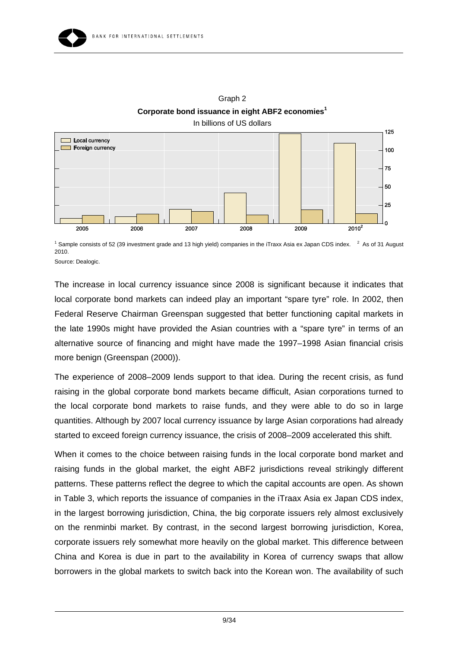

Graph 2 **Corporate bond issuance in eight ABF2 economies<sup>1</sup>** In billions of US dollars

<sup>1</sup> Sample consists of 52 (39 investment grade and 13 high yield) companies in the iTraxx Asia ex Japan CDS index.  $2^2$  As of 31 August 2010.

Source: Dealogic.

The increase in local currency issuance since 2008 is significant because it indicates that local corporate bond markets can indeed play an important "spare tyre" role. In 2002, then Federal Reserve Chairman Greenspan suggested that better functioning capital markets in the late 1990s might have provided the Asian countries with a "spare tyre" in terms of an alternative source of financing and might have made the 1997–1998 Asian financial crisis more benign (Greenspan (2000)).

The experience of 2008–2009 lends support to that idea. During the recent crisis, as fund raising in the global corporate bond markets became difficult, Asian corporations turned to the local corporate bond markets to raise funds, and they were able to do so in large quantities. Although by 2007 local currency issuance by large Asian corporations had already started to exceed foreign currency issuance, the crisis of 2008–2009 accelerated this shift.

When it comes to the choice between raising funds in the local corporate bond market and raising funds in the global market, the eight ABF2 jurisdictions reveal strikingly different patterns. These patterns reflect the degree to which the capital accounts are open. As shown in Table 3, which reports the issuance of companies in the iTraax Asia ex Japan CDS index, in the largest borrowing jurisdiction, China, the big corporate issuers rely almost exclusively on the renminbi market. By contrast, in the second largest borrowing jurisdiction, Korea, corporate issuers rely somewhat more heavily on the global market. This difference between China and Korea is due in part to the availability in Korea of currency swaps that allow borrowers in the global markets to switch back into the Korean won. The availability of such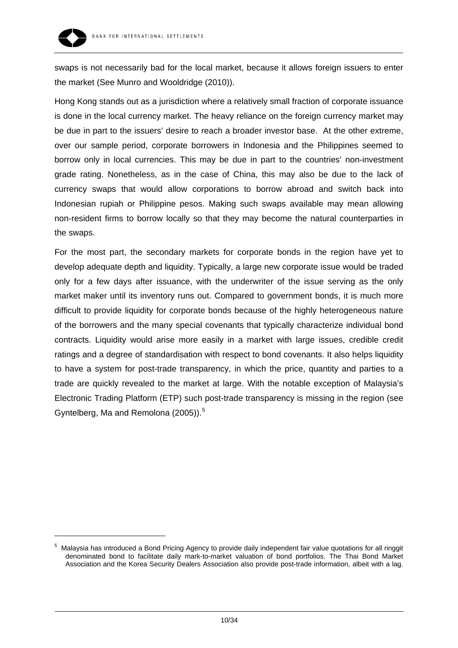

-

swaps is not necessarily bad for the local market, because it allows foreign issuers to enter the market (See Munro and Wooldridge (2010)).

Hong Kong stands out as a jurisdiction where a relatively small fraction of corporate issuance is done in the local currency market. The heavy reliance on the foreign currency market may be due in part to the issuers' desire to reach a broader investor base. At the other extreme, over our sample period, corporate borrowers in Indonesia and the Philippines seemed to borrow only in local currencies. This may be due in part to the countries' non-investment grade rating. Nonetheless, as in the case of China, this may also be due to the lack of currency swaps that would allow corporations to borrow abroad and switch back into Indonesian rupiah or Philippine pesos. Making such swaps available may mean allowing non-resident firms to borrow locally so that they may become the natural counterparties in the swaps.

For the most part, the secondary markets for corporate bonds in the region have yet to develop adequate depth and liquidity. Typically, a large new corporate issue would be traded only for a few days after issuance, with the underwriter of the issue serving as the only market maker until its inventory runs out. Compared to government bonds, it is much more difficult to provide liquidity for corporate bonds because of the highly heterogeneous nature of the borrowers and the many special covenants that typically characterize individual bond contracts. Liquidity would arise more easily in a market with large issues, credible credit ratings and a degree of standardisation with respect to bond covenants. It also helps liquidity to have a system for post-trade transparency, in which the price, quantity and parties to a trade are quickly revealed to the market at large. With the notable exception of Malaysia's Electronic Trading Platform (ETP) such post-trade transparency is missing in the region (see Gyntelberg, Ma and Remolona (200[5](#page-9-0))).<sup>5</sup>

<span id="page-9-0"></span><sup>&</sup>lt;sup>5</sup> Malaysia has introduced a Bond Pricing Agency to provide daily independent fair value quotations for all ringgit denominated bond to facilitate daily mark-to-market valuation of bond portfolios. The Thai Bond Market Association and the Korea Security Dealers Association also provide post-trade information, albeit with a lag.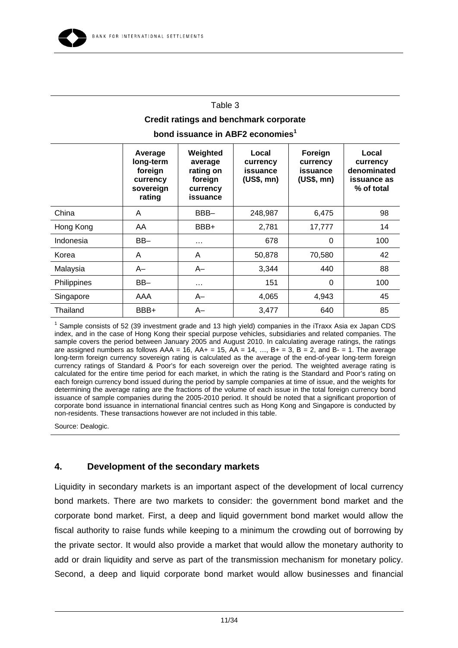#### Table 3

## **Credit ratings and benchmark corporate**

**bond issuance in ABF2 economies**<sup>1</sup>

|             | Average<br>long-term<br>foreign<br>currency<br>sovereign<br>rating | Weighted<br>average<br>rating on<br>foreign<br>currency<br>issuance | Local<br>currency<br>issuance<br>(US\$, mn) | Foreign<br>currency<br>issuance<br>(US\$, mn) | Local<br>currency<br>denominated<br>issuance as<br>% of total |
|-------------|--------------------------------------------------------------------|---------------------------------------------------------------------|---------------------------------------------|-----------------------------------------------|---------------------------------------------------------------|
| China       | A                                                                  | BBB-                                                                | 248,987                                     | 6,475                                         | 98                                                            |
| Hong Kong   | AA                                                                 | BBB+                                                                | 2,781                                       | 17,777                                        | 14                                                            |
| Indonesia   | $BB-$                                                              | $\cdots$                                                            | 678                                         | 0                                             | 100                                                           |
| Korea       | A                                                                  | A                                                                   | 50,878                                      | 70,580                                        | 42                                                            |
| Malaysia    | $A-$                                                               | $A-$                                                                | 3,344                                       | 440                                           | 88                                                            |
| Philippines | $BB-$                                                              | $\cdots$                                                            | 151                                         | $\Omega$                                      | 100                                                           |
| Singapore   | AAA                                                                | $A-$                                                                | 4,065                                       | 4,943                                         | 45                                                            |
| Thailand    | BBB+                                                               | $A-$                                                                | 3,477                                       | 640                                           | 85                                                            |

<sup>1</sup> Sample consists of 52 (39 investment grade and 13 high yield) companies in the iTraxx Asia ex Japan CDS index, and in the case of Hong Kong their special purpose vehicles, subsidiaries and related companies. The sample covers the period between January 2005 and August 2010. In calculating average ratings, the ratings are assigned numbers as follows  $AAA = 16$ ,  $AA + 15$ ,  $AA = 14$ , ...,  $B + 3$ ,  $B = 2$ , and  $B - 1$ . The average long-term foreign currency sovereign rating is calculated as the average of the end-of-year long-term foreign currency ratings of Standard & Poor's for each sovereign over the period. The weighted average rating is calculated for the entire time period for each market, in which the rating is the Standard and Poor's rating on each foreign currency bond issued during the period by sample companies at time of issue, and the weights for determining the average rating are the fractions of the volume of each issue in the total foreign currency bond issuance of sample companies during the 2005-2010 period. It should be noted that a significant proportion of corporate bond issuance in international financial centres such as Hong Kong and Singapore is conducted by non-residents. These transactions however are not included in this table.

Source: Dealogic.

## **4. Development of the secondary markets**

Liquidity in secondary markets is an important aspect of the development of local currency bond markets. There are two markets to consider: the government bond market and the corporate bond market. First, a deep and liquid government bond market would allow the fiscal authority to raise funds while keeping to a minimum the crowding out of borrowing by the private sector. It would also provide a market that would allow the monetary authority to add or drain liquidity and serve as part of the transmission mechanism for monetary policy. Second, a deep and liquid corporate bond market would allow businesses and financial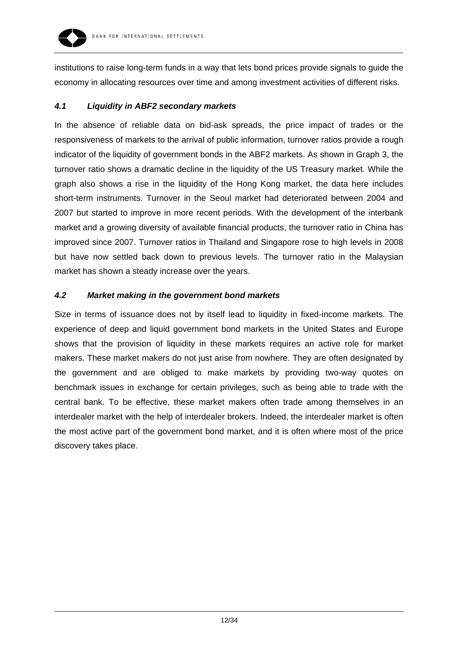

institutions to raise long-term funds in a way that lets bond prices provide signals to guide the economy in allocating resources over time and among investment activities of different risks.

#### *4.1 Liquidity in ABF2 secondary markets*

In the absence of reliable data on bid-ask spreads, the price impact of trades or the responsiveness of markets to the arrival of public information, turnover ratios provide a rough indicator of the liquidity of government bonds in the ABF2 markets. As shown in Graph 3, the turnover ratio shows a dramatic decline in the liquidity of the US Treasury market. While the graph also shows a rise in the liquidity of the Hong Kong market, the data here includes short-term instruments. Turnover in the Seoul market had deteriorated between 2004 and 2007 but started to improve in more recent periods. With the development of the interbank market and a growing diversity of available financial products, the turnover ratio in China has improved since 2007. Turnover ratios in Thailand and Singapore rose to high levels in 2008 but have now settled back down to previous levels. The turnover ratio in the Malaysian market has shown a steady increase over the years.

## *4.2 Market making in the government bond markets*

Size in terms of issuance does not by itself lead to liquidity in fixed-income markets. The experience of deep and liquid government bond markets in the United States and Europe shows that the provision of liquidity in these markets requires an active role for market makers. These market makers do not just arise from nowhere. They are often designated by the government and are obliged to make markets by providing two-way quotes on benchmark issues in exchange for certain privileges, such as being able to trade with the central bank. To be effective, these market makers often trade among themselves in an interdealer market with the help of interdealer brokers. Indeed, the interdealer market is often the most active part of the government bond market, and it is often where most of the price discovery takes place.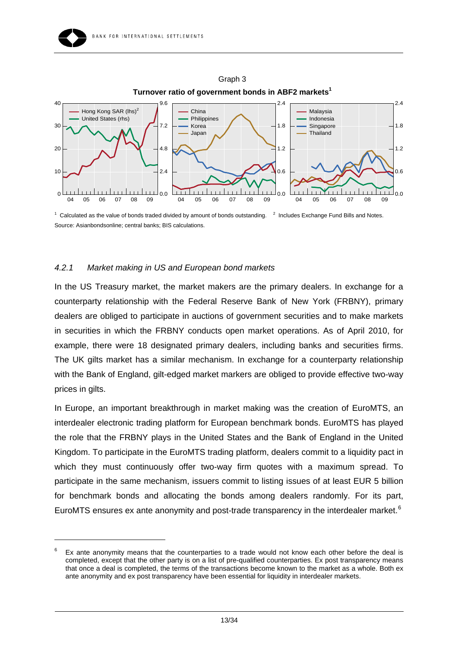



Graph 3 **Turnover ratio of government bonds in ABF2 markets<sup>1</sup>**

## *4.2.1 Market making in US and European bond markets*

-

In the US Treasury market, the market makers are the primary dealers. In exchange for a counterparty relationship with the Federal Reserve Bank of New York (FRBNY), primary dealers are obliged to participate in auctions of government securities and to make markets in securities in which the FRBNY conducts open market operations. As of April 2010, for example, there were 18 designated primary dealers, including banks and securities firms. The UK gilts market has a similar mechanism. In exchange for a counterparty relationship with the Bank of England, gilt-edged market markers are obliged to provide effective two-way prices in gilts.

In Europe, an important breakthrough in market making was the creation of EuroMTS, an interdealer electronic trading platform for European benchmark bonds. EuroMTS has played the role that the FRBNY plays in the United States and the Bank of England in the United Kingdom. To participate in the EuroMTS trading platform, dealers commit to a liquidity pact in which they must continuously offer two-way firm quotes with a maximum spread. To participate in the same mechanism, issuers commit to listing issues of at least EUR 5 billion for benchmark bonds and allocating the bonds among dealers randomly. For its part, EuroMTS ensures ex ante anonymity and post-trade transparency in the interdealer market.<sup>[6](#page-12-0)</sup>

 $1$  Calculated as the value of bonds traded divided by amount of bonds outstanding.  $2$  Includes Exchange Fund Bills and Notes. Source: Asianbondsonline; central banks; BIS calculations.

<span id="page-12-0"></span><sup>6</sup> Ex ante anonymity means that the counterparties to a trade would not know each other before the deal is completed, except that the other party is on a list of pre-qualified counterparties. Ex post transparency means that once a deal is completed, the terms of the transactions become known to the market as a whole. Both ex ante anonymity and ex post transparency have been essential for liquidity in interdealer markets.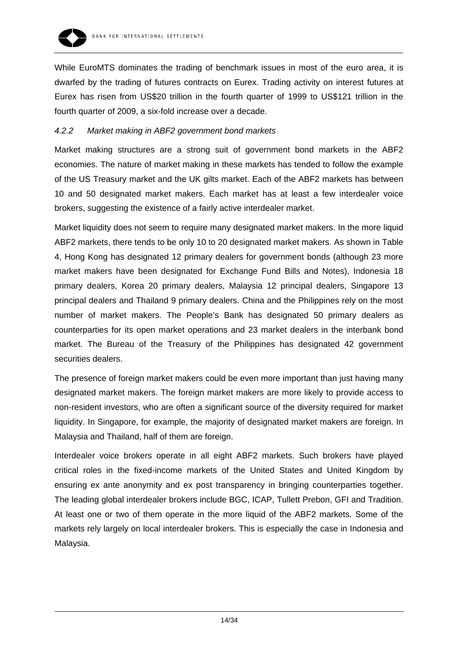

While EuroMTS dominates the trading of benchmark issues in most of the euro area, it is dwarfed by the trading of futures contracts on Eurex. Trading activity on interest futures at Eurex has risen from US\$20 trillion in the fourth quarter of 1999 to US\$121 trillion in the fourth quarter of 2009, a six-fold increase over a decade.

## *4.2.2 Market making in ABF2 government bond markets*

Market making structures are a strong suit of government bond markets in the ABF2 economies. The nature of market making in these markets has tended to follow the example of the US Treasury market and the UK gilts market. Each of the ABF2 markets has between 10 and 50 designated market makers. Each market has at least a few interdealer voice brokers, suggesting the existence of a fairly active interdealer market.

Market liquidity does not seem to require many designated market makers. In the more liquid ABF2 markets, there tends to be only 10 to 20 designated market makers. As shown in Table 4, Hong Kong has designated 12 primary dealers for government bonds (although 23 more market makers have been designated for Exchange Fund Bills and Notes), Indonesia 18 primary dealers, Korea 20 primary dealers, Malaysia 12 principal dealers, Singapore 13 principal dealers and Thailand 9 primary dealers. China and the Philippines rely on the most number of market makers. The People's Bank has designated 50 primary dealers as counterparties for its open market operations and 23 market dealers in the interbank bond market. The Bureau of the Treasury of the Philippines has designated 42 government securities dealers.

The presence of foreign market makers could be even more important than just having many designated market makers. The foreign market makers are more likely to provide access to non-resident investors, who are often a significant source of the diversity required for market liquidity. In Singapore, for example, the majority of designated market makers are foreign. In Malaysia and Thailand, half of them are foreign.

Interdealer voice brokers operate in all eight ABF2 markets. Such brokers have played critical roles in the fixed-income markets of the United States and United Kingdom by ensuring ex ante anonymity and ex post transparency in bringing counterparties together. The leading global interdealer brokers include BGC, ICAP, Tullett Prebon, GFI and Tradition. At least one or two of them operate in the more liquid of the ABF2 markets. Some of the markets rely largely on local interdealer brokers. This is especially the case in Indonesia and Malaysia.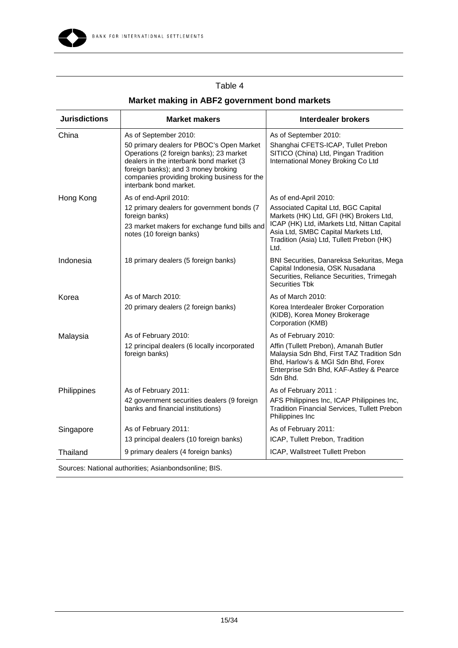

#### BANK FOR INTERNATIONAL SETTLEMENTS

# Table 4

| <b>Jurisdictions</b> | <b>Market makers</b>                                                                                                                                                                                                                             | <b>Interdealer brokers</b>                                                                                                                                                                                                |
|----------------------|--------------------------------------------------------------------------------------------------------------------------------------------------------------------------------------------------------------------------------------------------|---------------------------------------------------------------------------------------------------------------------------------------------------------------------------------------------------------------------------|
| China                | As of September 2010:                                                                                                                                                                                                                            | As of September 2010:                                                                                                                                                                                                     |
|                      | 50 primary dealers for PBOC's Open Market<br>Operations (2 foreign banks); 23 market<br>dealers in the interbank bond market (3<br>foreign banks); and 3 money broking<br>companies providing broking business for the<br>interbank bond market. | Shanghai CFETS-ICAP, Tullet Prebon<br>SITICO (China) Ltd, Pingan Tradition<br>International Money Broking Co Ltd                                                                                                          |
| Hong Kong            | As of end-April 2010:                                                                                                                                                                                                                            | As of end-April 2010:                                                                                                                                                                                                     |
|                      | 12 primary dealers for government bonds (7<br>foreign banks)<br>23 market makers for exchange fund bills and<br>notes (10 foreign banks)                                                                                                         | Associated Capital Ltd, BGC Capital<br>Markets (HK) Ltd, GFI (HK) Brokers Ltd,<br>ICAP (HK) Ltd, iMarkets Ltd, Nittan Capital<br>Asia Ltd, SMBC Capital Markets Ltd,<br>Tradition (Asia) Ltd, Tullett Prebon (HK)<br>Ltd. |
| Indonesia            | 18 primary dealers (5 foreign banks)                                                                                                                                                                                                             | BNI Securities, Danareksa Sekuritas, Mega<br>Capital Indonesia, OSK Nusadana<br>Securities, Reliance Securities, Trimegah<br><b>Securities Tbk</b>                                                                        |
| Korea                | As of March 2010:                                                                                                                                                                                                                                | As of March 2010:                                                                                                                                                                                                         |
|                      | 20 primary dealers (2 foreign banks)                                                                                                                                                                                                             | Korea Interdealer Broker Corporation<br>(KIDB), Korea Money Brokerage<br>Corporation (KMB)                                                                                                                                |
| Malaysia             | As of February 2010:                                                                                                                                                                                                                             | As of February 2010:                                                                                                                                                                                                      |
|                      | 12 principal dealers (6 locally incorporated<br>foreign banks)                                                                                                                                                                                   | Affin (Tullett Prebon), Amanah Butler<br>Malaysia Sdn Bhd, First TAZ Tradition Sdn<br>Bhd, Harlow's & MGI Sdn Bhd, Forex<br>Enterprise Sdn Bhd, KAF-Astley & Pearce<br>Sdn Bhd.                                           |
| Philippines          | As of February 2011:                                                                                                                                                                                                                             | As of February 2011:                                                                                                                                                                                                      |
|                      | 42 government securities dealers (9 foreign<br>banks and financial institutions)                                                                                                                                                                 | AFS Philippines Inc, ICAP Philippines Inc,<br><b>Tradition Financial Services, Tullett Prebon</b><br>Philippines Inc                                                                                                      |
| Singapore            | As of February 2011:                                                                                                                                                                                                                             | As of February 2011:                                                                                                                                                                                                      |
|                      | 13 principal dealers (10 foreign banks)                                                                                                                                                                                                          | ICAP, Tullett Prebon, Tradition                                                                                                                                                                                           |
| Thailand             | 9 primary dealers (4 foreign banks)                                                                                                                                                                                                              | ICAP, Wallstreet Tullett Prebon                                                                                                                                                                                           |

# **Market making in ABF2 government bond markets**

Sources: National authorities; Asianbondsonline; BIS.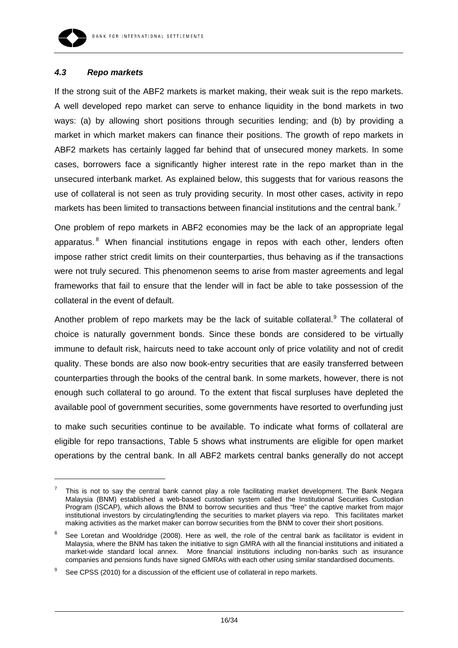

-

#### *4.3 Repo markets*

If the strong suit of the ABF2 markets is market making, their weak suit is the repo markets. A well developed repo market can serve to enhance liquidity in the bond markets in two ways: (a) by allowing short positions through securities lending; and (b) by providing a market in which market makers can finance their positions. The growth of repo markets in ABF2 markets has certainly lagged far behind that of unsecured money markets. In some cases, borrowers face a significantly higher interest rate in the repo market than in the unsecured interbank market. As explained below, this suggests that for various reasons the use of collateral is not seen as truly providing security. In most other cases, activity in repo markets has been limited to transactions between financial institutions and the central bank.<sup>[7](#page-15-0)</sup>

One problem of repo markets in ABF2 economies may be the lack of an appropriate legal apparatus.<sup>[8](#page-15-1)</sup> When financial institutions engage in repos with each other, lenders often impose rather strict credit limits on their counterparties, thus behaving as if the transactions were not truly secured. This phenomenon seems to arise from master agreements and legal frameworks that fail to ensure that the lender will in fact be able to take possession of the collateral in the event of default.

Another problem of repo markets may be the lack of suitable collateral.<sup>[9](#page-15-2)</sup> The collateral of choice is naturally government bonds. Since these bonds are considered to be virtually immune to default risk, haircuts need to take account only of price volatility and not of credit quality. These bonds are also now book-entry securities that are easily transferred between counterparties through the books of the central bank. In some markets, however, there is not enough such collateral to go around. To the extent that fiscal surpluses have depleted the available pool of government securities, some governments have resorted to overfunding just

to make such securities continue to be available. To indicate what forms of collateral are eligible for repo transactions, Table 5 shows what instruments are eligible for open market operations by the central bank. In all ABF2 markets central banks generally do not accept

<span id="page-15-0"></span><sup>7</sup> This is not to say the central bank cannot play a role facilitating market development. The Bank Negara Malaysia (BNM) established a web-based custodian system called the Institutional Securities Custodian Program (ISCAP), which allows the BNM to borrow securities and thus "free" the captive market from major institutional investors by circulating/lending the securities to market players via repo. This facilitates market making activities as the market maker can borrow securities from the BNM to cover their short positions.

<span id="page-15-1"></span><sup>8</sup> See Loretan and Wooldridge (2008). Here as well, the role of the central bank as facilitator is evident in Malaysia, where the BNM has taken the initiative to sign GMRA with all the financial institutions and initiated a market-wide standard local annex. More financial institutions including non-banks such as insurance companies and pensions funds have signed GMRAs with each other using similar standardised documents.

<span id="page-15-2"></span><sup>9</sup> See CPSS (2010) for a discussion of the efficient use of collateral in repo markets.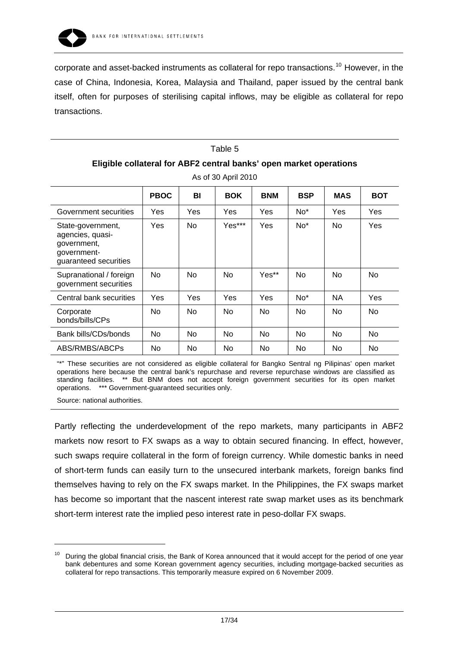

corporate and asset-backed instruments as collateral for repo transactions.<sup>[10](#page-16-0)</sup> However, in the case of China, Indonesia, Korea, Malaysia and Thailand, paper issued by the central bank itself, often for purposes of sterilising capital inflows, may be eligible as collateral for repo transactions.

# Table 5 **Eligible collateral for ABF2 central banks' open market operations**

|                                                                                              | <b>PBOC</b>    | BI             | <b>BOK</b>     | <b>BNM</b>     | <b>BSP</b>      | MAS            | <b>BOT</b>     |
|----------------------------------------------------------------------------------------------|----------------|----------------|----------------|----------------|-----------------|----------------|----------------|
| Government securities                                                                        | Yes            | Yes            | Yes            | Yes            | No <sup>*</sup> | Yes            | Yes            |
| State-government,<br>agencies, quasi-<br>government,<br>government-<br>guaranteed securities | Yes            | No.            | Yes***         | Yes            | No <sup>*</sup> | No.            | Yes            |
| Supranational / foreign<br>government securities                                             | No.            | No.            | N <sub>0</sub> | Yes**          | No              | No.            | N <sub>o</sub> |
| Central bank securities                                                                      | Yes            | Yes            | Yes            | Yes            | $No*$           | <b>NA</b>      | Yes            |
| Corporate<br>bonds/bills/CPs                                                                 | N <sub>o</sub> | N <sub>0</sub> | N <sub>0</sub> | <b>No</b>      | No.             | N <sub>o</sub> | <b>No</b>      |
| Bank bills/CDs/bonds                                                                         | No.            | No.            | N <sub>0</sub> | N <sub>0</sub> | <b>No</b>       | No.            | <b>No</b>      |
| ABS/RMBS/ABCPs                                                                               | No.            | No             | <b>No</b>      | <b>No</b>      | <b>No</b>       | No.            | <b>No</b>      |

As of 30 April 2010

"\*" These securities are not considered as eligible collateral for Bangko Sentral ng Pilipinas' open market operations here because the central bank's repurchase and reverse repurchase windows are classified as standing facilities. \*\* But BNM does not accept foreign government securities for its open market operations. \*\*\* Government-guaranteed securities only.

Source: national authorities.

-

Partly reflecting the underdevelopment of the repo markets, many participants in ABF2 markets now resort to FX swaps as a way to obtain secured financing. In effect, however, such swaps require collateral in the form of foreign currency. While domestic banks in need of short-term funds can easily turn to the unsecured interbank markets, foreign banks find themselves having to rely on the FX swaps market. In the Philippines, the FX swaps market has become so important that the nascent interest rate swap market uses as its benchmark short-term interest rate the implied peso interest rate in peso-dollar FX swaps.

<span id="page-16-0"></span><sup>10</sup> During the global financial crisis, the Bank of Korea announced that it would accept for the period of one year bank debentures and some Korean government agency securities, including mortgage-backed securities as collateral for repo transactions. This temporarily measure expired on 6 November 2009.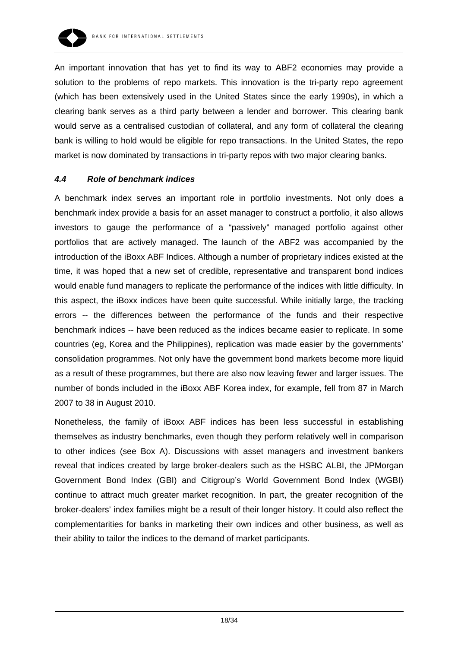

An important innovation that has yet to find its way to ABF2 economies may provide a solution to the problems of repo markets. This innovation is the tri-party repo agreement (which has been extensively used in the United States since the early 1990s), in which a clearing bank serves as a third party between a lender and borrower. This clearing bank would serve as a centralised custodian of collateral, and any form of collateral the clearing bank is willing to hold would be eligible for repo transactions. In the United States, the repo market is now dominated by transactions in tri-party repos with two major clearing banks.

#### *4.4 Role of benchmark indices*

A benchmark index serves an important role in portfolio investments. Not only does a benchmark index provide a basis for an asset manager to construct a portfolio, it also allows investors to gauge the performance of a "passively" managed portfolio against other portfolios that are actively managed. The launch of the ABF2 was accompanied by the introduction of the iBoxx ABF Indices. Although a number of proprietary indices existed at the time, it was hoped that a new set of credible, representative and transparent bond indices would enable fund managers to replicate the performance of the indices with little difficulty. In this aspect, the iBoxx indices have been quite successful. While initially large, the tracking errors -- the differences between the performance of the funds and their respective benchmark indices -- have been reduced as the indices became easier to replicate. In some countries (eg, Korea and the Philippines), replication was made easier by the governments' consolidation programmes. Not only have the government bond markets become more liquid as a result of these programmes, but there are also now leaving fewer and larger issues. The number of bonds included in the iBoxx ABF Korea index, for example, fell from 87 in March 2007 to 38 in August 2010.

Nonetheless, the family of iBoxx ABF indices has been less successful in establishing themselves as industry benchmarks, even though they perform relatively well in comparison to other indices (see Box A). Discussions with asset managers and investment bankers reveal that indices created by large broker-dealers such as the HSBC ALBI, the JPMorgan Government Bond Index (GBI) and Citigroup's World Government Bond Index (WGBI) continue to attract much greater market recognition. In part, the greater recognition of the broker-dealers' index families might be a result of their longer history. It could also reflect the complementarities for banks in marketing their own indices and other business, as well as their ability to tailor the indices to the demand of market participants.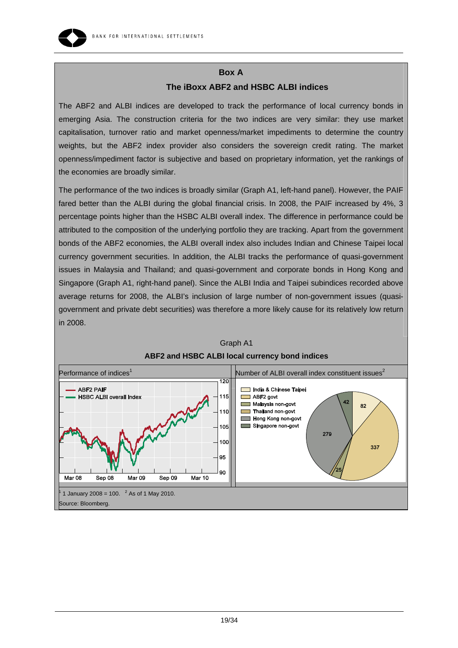

## **The iBoxx ABF2 and HSBC ALBI indices**

The ABF2 and ALBI indices are developed to track the performance of local currency bonds in emerging Asia. The construction criteria for the two indices are very similar: they use market capitalisation, turnover ratio and market openness/market impediments to determine the country weights, but the ABF2 index provider also considers the sovereign credit rating. The market openness/impediment factor is subjective and based on proprietary information, yet the rankings of the economies are broadly similar.

The performance of the two indices is broadly similar (Graph A1, left-hand panel). However, the PAIF fared better than the ALBI during the global financial crisis. In 2008, the PAIF increased by 4%, 3 percentage points higher than the HSBC ALBI overall index. The difference in performance could be attributed to the composition of the underlying portfolio they are tracking. Apart from the government bonds of the ABF2 economies, the ALBI overall index also includes Indian and Chinese Taipei local currency government securities. In addition, the ALBI tracks the performance of quasi-government issues in Malaysia and Thailand; and quasi-government and corporate bonds in Hong Kong and Singapore (Graph A1, right-hand panel). Since the ALBI India and Taipei subindices recorded above average returns for 2008, the ALBI's inclusion of large number of non-government issues (quasigovernment and private debt securities) was therefore a more likely cause for its relatively low return in 2008.



# Graph A1 **ABF2 and HSBC ALBI local currency bond indices**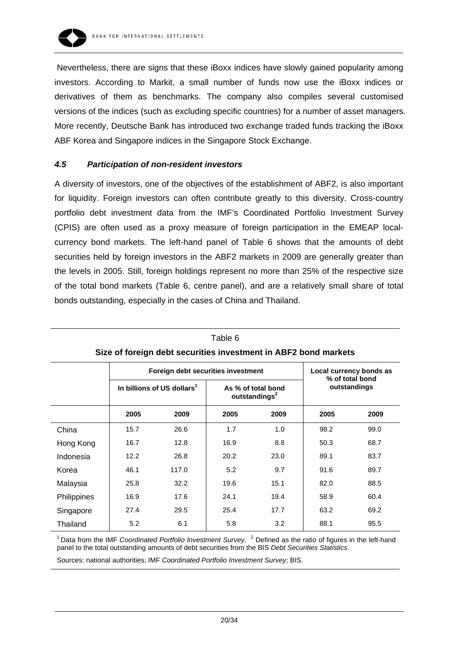

 Nevertheless, there are signs that these iBoxx indices have slowly gained popularity among investors. According to Markit, a small number of funds now use the iBoxx indices or derivatives of them as benchmarks. The company also compiles several customised versions of the indices (such as excluding specific countries) for a number of asset managers. More recently, Deutsche Bank has introduced two exchange traded funds tracking the iBoxx ABF Korea and Singapore indices in the Singapore Stock Exchange.

#### *4.5 Participation of non-resident investors*

A diversity of investors, one of the objectives of the establishment of ABF2, is also important for liquidity. Foreign investors can often contribute greatly to this diversity. Cross-country portfolio debt investment data from the IMF's Coordinated Portfolio Investment Survey (CPIS) are often used as a proxy measure of foreign participation in the EMEAP localcurrency bond markets. The left-hand panel of Table 6 shows that the amounts of debt securities held by foreign investors in the ABF2 markets in 2009 are generally greater than the levels in 2005. Still, foreign holdings represent no more than 25% of the respective size of the total bond markets (Table 6, centre panel), and are a relatively small share of total bonds outstanding, especially in the cases of China and Thailand.

| Size of foreign debt securities investment in ABF2 bond markets |                                        |                                    |                                                            |      |                                                 |      |
|-----------------------------------------------------------------|----------------------------------------|------------------------------------|------------------------------------------------------------|------|-------------------------------------------------|------|
|                                                                 |                                        | Foreign debt securities investment | Local currency bonds as<br>% of total bond<br>outstandings |      |                                                 |      |
|                                                                 | In billions of US dollars <sup>1</sup> |                                    |                                                            |      | As % of total bond<br>outstandings <sup>2</sup> |      |
|                                                                 | 2005                                   | 2009                               | 2005                                                       | 2009 | 2005                                            | 2009 |
| China                                                           | 15.7                                   | 26.6                               | 1.7                                                        | 1.0  | 98.2                                            | 99.0 |
| Hong Kong                                                       | 16.7                                   | 12.8                               | 16.9                                                       | 8.8  | 50.3                                            | 68.7 |
| Indonesia                                                       | 12.2                                   | 26.8                               | 20.2                                                       | 23.0 | 89.1                                            | 83.7 |
| Korea                                                           | 46.1                                   | 117.0                              | 5.2                                                        | 9.7  | 91.6                                            | 89.7 |
| Malaysia                                                        | 25.8                                   | 32.2                               | 19.6                                                       | 15.1 | 82.0                                            | 88.5 |
| Philippines                                                     | 16.9                                   | 17.6                               | 24.1                                                       | 19.4 | 58.9                                            | 60.4 |
| Singapore                                                       | 27.4                                   | 29.5                               | 25.4                                                       | 17.7 | 63.2                                            | 69.2 |
| Thailand                                                        | 5.2                                    | 6.1                                | 5.8                                                        | 3.2  | 88.1                                            | 95.5 |

| Table 6                                                                    |
|----------------------------------------------------------------------------|
| $\overline{S}$ and foreign dept securities investment in ARF2 hand markets |

<sup>1</sup> Data from the IMF *Coordinated Portfolio Investment Survey.* <sup>2</sup> Defined as the ratio of figures in the left-hand panel to the total outstanding amounts of debt securities from the BIS *Debt Securities Statistics*.

Sources: national authorities; IMF *Coordinated Portfolio Investment Survey*; BIS.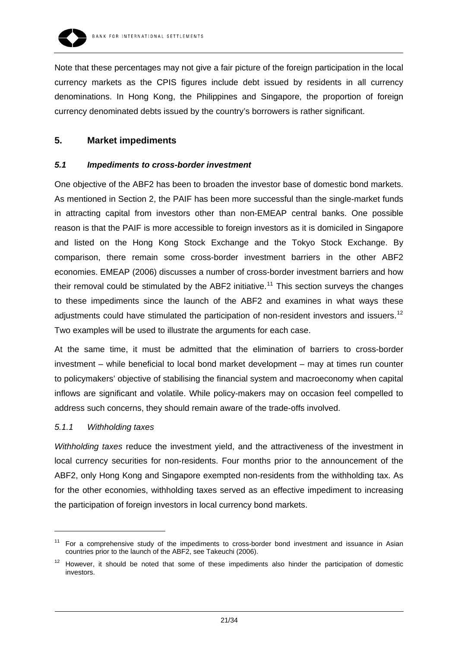

Note that these percentages may not give a fair picture of the foreign participation in the local currency markets as the CPIS figures include debt issued by residents in all currency denominations. In Hong Kong, the Philippines and Singapore, the proportion of foreign currency denominated debts issued by the country's borrowers is rather significant.

## **5. Market impediments**

#### *5.1 Impediments to cross-border investment*

One objective of the ABF2 has been to broaden the investor base of domestic bond markets. As mentioned in Section 2, the PAIF has been more successful than the single-market funds in attracting capital from investors other than non-EMEAP central banks. One possible reason is that the PAIF is more accessible to foreign investors as it is domiciled in Singapore and listed on the Hong Kong Stock Exchange and the Tokyo Stock Exchange. By comparison, there remain some cross-border investment barriers in the other ABF2 economies. EMEAP (2006) discusses a number of cross-border investment barriers and how their removal could be stimulated by the ABF2 initiative.<sup>[11](#page-20-0)</sup> This section surveys the changes to these impediments since the launch of the ABF2 and examines in what ways these adjustments could have stimulated the participation of non-resident investors and issuers.<sup>[12](#page-20-1)</sup> Two examples will be used to illustrate the arguments for each case.

At the same time, it must be admitted that the elimination of barriers to cross-border investment – while beneficial to local bond market development – may at times run counter to policymakers' objective of stabilising the financial system and macroeconomy when capital inflows are significant and volatile. While policy-makers may on occasion feel compelled to address such concerns, they should remain aware of the trade-offs involved.

#### *5.1.1 Withholding taxes*

-

*Withholding taxes* reduce the investment yield, and the attractiveness of the investment in local currency securities for non-residents. Four months prior to the announcement of the ABF2, only Hong Kong and Singapore exempted non-residents from the withholding tax. As for the other economies, withholding taxes served as an effective impediment to increasing the participation of foreign investors in local currency bond markets.

<span id="page-20-0"></span>For a comprehensive study of the impediments to cross-border bond investment and issuance in Asian countries prior to the launch of the ABF2, see Takeuchi (2006).

<span id="page-20-1"></span> $12$  However, it should be noted that some of these impediments also hinder the participation of domestic investors.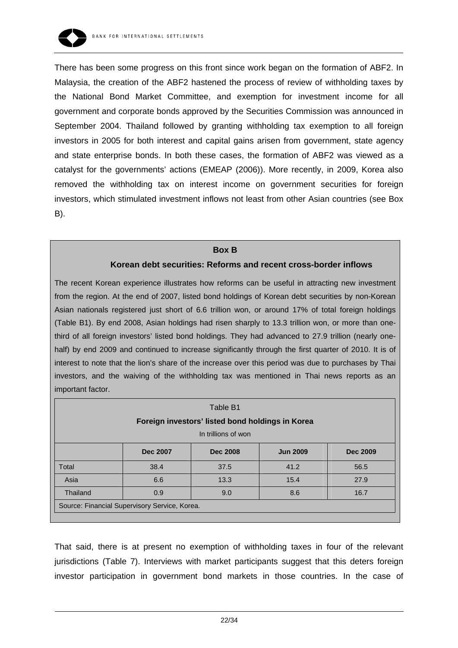

There has been some progress on this front since work began on the formation of ABF2. In Malaysia, the creation of the ABF2 hastened the process of review of withholding taxes by the National Bond Market Committee, and exemption for investment income for all government and corporate bonds approved by the Securities Commission was announced in September 2004. Thailand followed by granting withholding tax exemption to all foreign investors in 2005 for both interest and capital gains arisen from government, state agency and state enterprise bonds. In both these cases, the formation of ABF2 was viewed as a catalyst for the governments' actions (EMEAP (2006)). More recently, in 2009, Korea also removed the withholding tax on interest income on government securities for foreign investors, which stimulated investment inflows not least from other Asian countries (see Box B).

#### **Box B**

#### **Korean debt securities: Reforms and recent cross-border inflows**

The recent Korean experience illustrates how reforms can be useful in attracting new investment from the region. At the end of 2007, listed bond holdings of Korean debt securities by non-Korean Asian nationals registered just short of 6.6 trillion won, or around 17% of total foreign holdings (Table B1). By end 2008, Asian holdings had risen sharply to 13.3 trillion won, or more than onethird of all foreign investors' listed bond holdings. They had advanced to 27.9 trillion (nearly onehalf) by end 2009 and continued to increase significantly through the first quarter of 2010. It is of interest to note that the lion's share of the increase over this period was due to purchases by Thai investors, and the waiving of the withholding tax was mentioned in Thai news reports as an important factor.

| Table B1<br>Foreign investors' listed bond holdings in Korea |                     |                 |                 |                 |  |  |
|--------------------------------------------------------------|---------------------|-----------------|-----------------|-----------------|--|--|
|                                                              | In trillions of won |                 |                 |                 |  |  |
|                                                              | <b>Dec 2007</b>     | <b>Dec 2008</b> | <b>Jun 2009</b> | <b>Dec 2009</b> |  |  |
| Total                                                        | 38.4                | 37.5            | 41.2            | 56.5            |  |  |
| Asia                                                         | 6.6                 | 13.3            | 15.4            | 27.9            |  |  |
| Thailand                                                     | 0.9                 | 9.0             | 8.6             | 16.7            |  |  |
| Source: Financial Supervisory Service, Korea.                |                     |                 |                 |                 |  |  |
|                                                              |                     |                 |                 |                 |  |  |

That said, there is at present no exemption of withholding taxes in four of the relevant jurisdictions (Table 7). Interviews with market participants suggest that this deters foreign investor participation in government bond markets in those countries. In the case of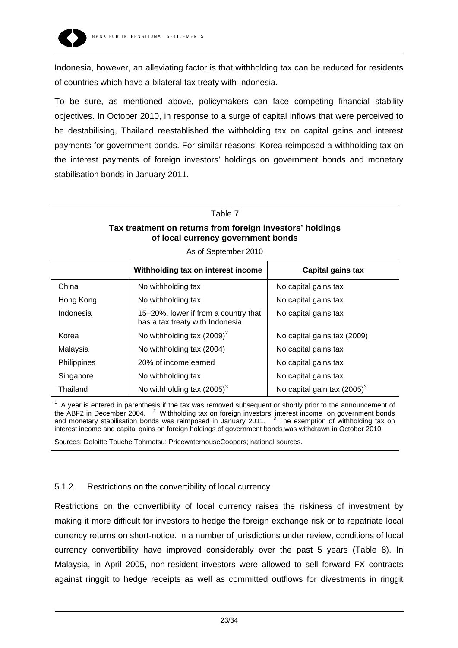

Indonesia, however, an alleviating factor is that withholding tax can be reduced for residents of countries which have a bilateral tax treaty with Indonesia.

To be sure, as mentioned above, policymakers can face competing financial stability objectives. In October 2010, in response to a surge of capital inflows that were perceived to be destabilising, Thailand reestablished the withholding tax on capital gains and interest payments for government bonds. For similar reasons, Korea reimposed a withholding tax on the interest payments of foreign investors' holdings on government bonds and monetary stabilisation bonds in January 2011.

#### Table 7

#### **Tax treatment on returns from foreign investors' holdings of local currency government bonds**

|                    | Withholding tax on interest income                                      | Capital gains tax              |  |  |  |  |
|--------------------|-------------------------------------------------------------------------|--------------------------------|--|--|--|--|
| China              | No withholding tax                                                      | No capital gains tax           |  |  |  |  |
| Hong Kong          | No withholding tax                                                      | No capital gains tax           |  |  |  |  |
| Indonesia          | 15–20%, lower if from a country that<br>has a tax treaty with Indonesia | No capital gains tax           |  |  |  |  |
| Korea              | No withholding tax $(2009)^2$                                           | No capital gains tax (2009)    |  |  |  |  |
| Malaysia           | No withholding tax (2004)                                               | No capital gains tax           |  |  |  |  |
| <b>Philippines</b> | 20% of income earned                                                    | No capital gains tax           |  |  |  |  |
| Singapore          | No withholding tax                                                      | No capital gains tax           |  |  |  |  |
| Thailand           | No withholding tax $(2005)^3$                                           | No capital gain tax $(2005)^3$ |  |  |  |  |

As of September 2010

 $1$  A year is entered in parenthesis if the tax was removed subsequent or shortly prior to the announcement of the ABF2 in December 2004. <sup>2</sup> Withholding tax on foreign investors' interest income on government bonds and monetary stabilisation bonds was reimposed in January 2011.  $3$  The exemption of withholding tax on interest income and capital gains on foreign holdings of government bonds was withdrawn in October 2010. Sources: Deloitte Touche Tohmatsu; PricewaterhouseCoopers; national sources.

## 5.1.2 Restrictions on the convertibility of local currency

Restrictions on the convertibility of local currency raises the riskiness of investment by making it more difficult for investors to hedge the foreign exchange risk or to repatriate local currency returns on short-notice. In a number of jurisdictions under review, conditions of local currency convertibility have improved considerably over the past 5 years (Table 8). In Malaysia, in April 2005, non-resident investors were allowed to sell forward FX contracts against ringgit to hedge receipts as well as committed outflows for divestments in ringgit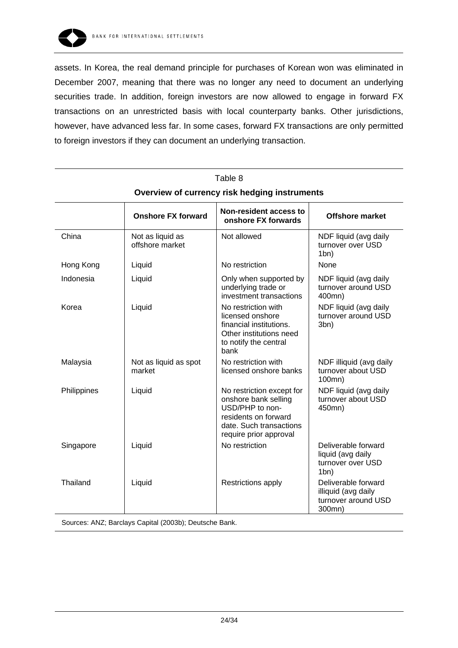

assets. In Korea, the real demand principle for purchases of Korean won was eliminated in December 2007, meaning that there was no longer any need to document an underlying securities trade. In addition, foreign investors are now allowed to engage in forward FX transactions on an unrestricted basis with local counterparty banks. Other jurisdictions, however, have advanced less far. In some cases, forward FX transactions are only permitted to foreign investors if they can document an underlying transaction.

| Table 8                                       |                                     |                                                                                                                                                   |                                                                                 |  |  |  |
|-----------------------------------------------|-------------------------------------|---------------------------------------------------------------------------------------------------------------------------------------------------|---------------------------------------------------------------------------------|--|--|--|
| Overview of currency risk hedging instruments |                                     |                                                                                                                                                   |                                                                                 |  |  |  |
|                                               | <b>Onshore FX forward</b>           | <b>Non-resident access to</b><br>onshore FX forwards                                                                                              | <b>Offshore market</b>                                                          |  |  |  |
| China                                         | Not as liquid as<br>offshore market | Not allowed                                                                                                                                       | NDF liquid (avg daily<br>turnover over USD<br>1bn)                              |  |  |  |
| Hong Kong                                     | Liquid                              | No restriction                                                                                                                                    | None                                                                            |  |  |  |
| Indonesia<br>Korea                            | Liquid<br>Liquid                    | Only when supported by<br>underlying trade or<br>investment transactions<br>No restriction with                                                   | NDF liquid (avg daily<br>turnover around USD<br>400mn)<br>NDF liquid (avg daily |  |  |  |
|                                               |                                     | licensed onshore<br>financial institutions.<br>Other institutions need<br>to notify the central<br>bank                                           | turnover around USD<br>3bn)                                                     |  |  |  |
| Malaysia                                      | Not as liquid as spot<br>market     | No restriction with<br>licensed onshore banks                                                                                                     | NDF illiquid (avg daily<br>turnover about USD<br>100mn)                         |  |  |  |
| Philippines                                   | Liquid                              | No restriction except for<br>onshore bank selling<br>USD/PHP to non-<br>residents on forward<br>date. Such transactions<br>require prior approval | NDF liquid (avg daily<br>turnover about USD<br>450mn)                           |  |  |  |
| Singapore                                     | Liquid                              | No restriction                                                                                                                                    | Deliverable forward<br>liquid (avg daily<br>turnover over USD<br>1bn)           |  |  |  |
| Thailand                                      | Liquid                              | Restrictions apply                                                                                                                                | Deliverable forward<br>illiquid (avg daily<br>turnover around USD<br>300mn)     |  |  |  |
|                                               |                                     |                                                                                                                                                   |                                                                                 |  |  |  |

Sources: ANZ; Barclays Capital (2003b); Deutsche Bank.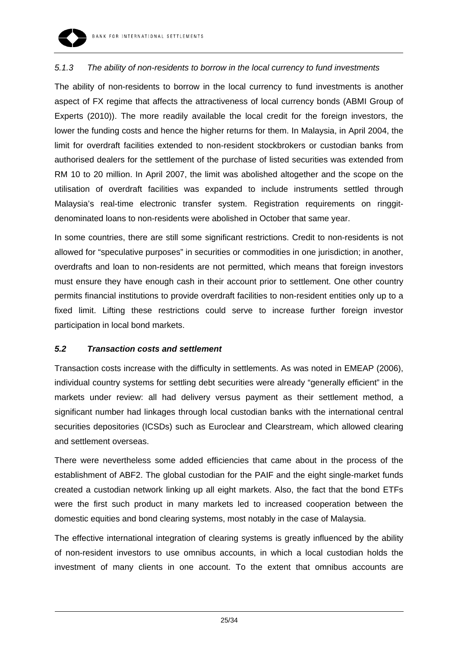

## *5.1.3 The ability of non-residents to borrow in the local currency to fund investments*

The ability of non-residents to borrow in the local currency to fund investments is another aspect of FX regime that affects the attractiveness of local currency bonds (ABMI Group of Experts (2010)). The more readily available the local credit for the foreign investors, the lower the funding costs and hence the higher returns for them. In Malaysia, in April 2004, the limit for overdraft facilities extended to non-resident stockbrokers or custodian banks from authorised dealers for the settlement of the purchase of listed securities was extended from RM 10 to 20 million. In April 2007, the limit was abolished altogether and the scope on the utilisation of overdraft facilities was expanded to include instruments settled through Malaysia's real-time electronic transfer system. Registration requirements on ringgitdenominated loans to non-residents were abolished in October that same year.

In some countries, there are still some significant restrictions. Credit to non-residents is not allowed for "speculative purposes" in securities or commodities in one jurisdiction; in another, overdrafts and loan to non-residents are not permitted, which means that foreign investors must ensure they have enough cash in their account prior to settlement. One other country permits financial institutions to provide overdraft facilities to non-resident entities only up to a fixed limit. Lifting these restrictions could serve to increase further foreign investor participation in local bond markets.

#### *5.2 Transaction costs and settlement*

Transaction costs increase with the difficulty in settlements. As was noted in EMEAP (2006), individual country systems for settling debt securities were already "generally efficient" in the markets under review: all had delivery versus payment as their settlement method, a significant number had linkages through local custodian banks with the international central securities depositories (ICSDs) such as Euroclear and Clearstream, which allowed clearing and settlement overseas.

There were nevertheless some added efficiencies that came about in the process of the establishment of ABF2. The global custodian for the PAIF and the eight single-market funds created a custodian network linking up all eight markets. Also, the fact that the bond ETFs were the first such product in many markets led to increased cooperation between the domestic equities and bond clearing systems, most notably in the case of Malaysia.

The effective international integration of clearing systems is greatly influenced by the ability of non-resident investors to use omnibus accounts, in which a local custodian holds the investment of many clients in one account. To the extent that omnibus accounts are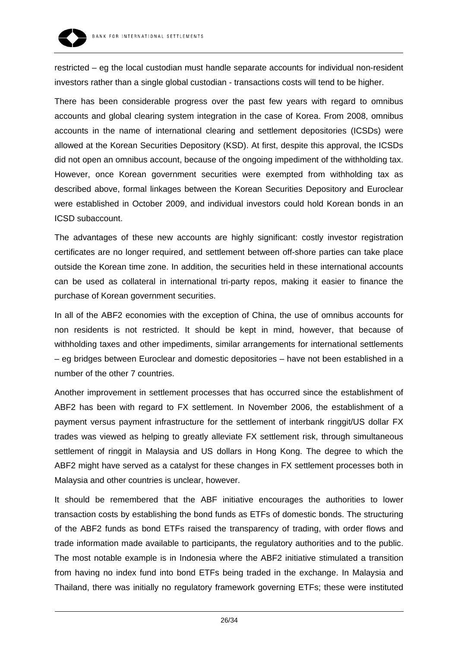

restricted – eg the local custodian must handle separate accounts for individual non-resident investors rather than a single global custodian - transactions costs will tend to be higher.

There has been considerable progress over the past few years with regard to omnibus accounts and global clearing system integration in the case of Korea. From 2008, omnibus accounts in the name of international clearing and settlement depositories (ICSDs) were allowed at the Korean Securities Depository (KSD). At first, despite this approval, the ICSDs did not open an omnibus account, because of the ongoing impediment of the withholding tax. However, once Korean government securities were exempted from withholding tax as described above, formal linkages between the Korean Securities Depository and Euroclear were established in October 2009, and individual investors could hold Korean bonds in an ICSD subaccount.

The advantages of these new accounts are highly significant: costly investor registration certificates are no longer required, and settlement between off-shore parties can take place outside the Korean time zone. In addition, the securities held in these international accounts can be used as collateral in international tri-party repos, making it easier to finance the purchase of Korean government securities.

In all of the ABF2 economies with the exception of China, the use of omnibus accounts for non residents is not restricted. It should be kept in mind, however, that because of withholding taxes and other impediments, similar arrangements for international settlements – eg bridges between Euroclear and domestic depositories – have not been established in a number of the other 7 countries.

Another improvement in settlement processes that has occurred since the establishment of ABF2 has been with regard to FX settlement. In November 2006, the establishment of a payment versus payment infrastructure for the settlement of interbank ringgit/US dollar FX trades was viewed as helping to greatly alleviate FX settlement risk, through simultaneous settlement of ringgit in Malaysia and US dollars in Hong Kong. The degree to which the ABF2 might have served as a catalyst for these changes in FX settlement processes both in Malaysia and other countries is unclear, however.

It should be remembered that the ABF initiative encourages the authorities to lower transaction costs by establishing the bond funds as ETFs of domestic bonds. The structuring of the ABF2 funds as bond ETFs raised the transparency of trading, with order flows and trade information made available to participants, the regulatory authorities and to the public. The most notable example is in Indonesia where the ABF2 initiative stimulated a transition from having no index fund into bond ETFs being traded in the exchange. In Malaysia and Thailand, there was initially no regulatory framework governing ETFs; these were instituted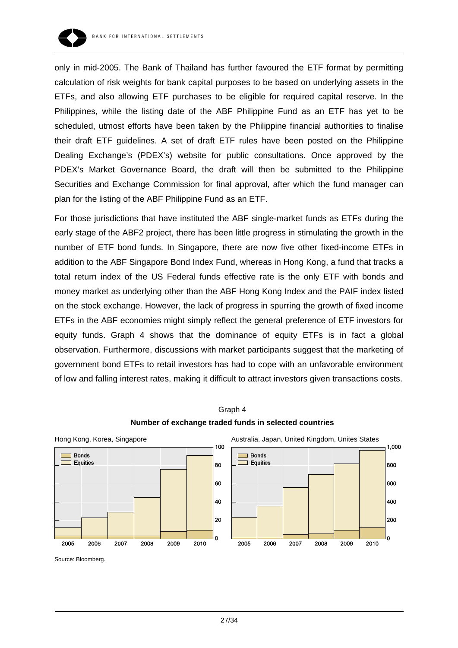

only in mid-2005. The Bank of Thailand has further favoured the ETF format by permitting calculation of risk weights for bank capital purposes to be based on underlying assets in the ETFs, and also allowing ETF purchases to be eligible for required capital reserve. In the Philippines, while the listing date of the ABF Philippine Fund as an ETF has yet to be scheduled, utmost efforts have been taken by the Philippine financial authorities to finalise their draft ETF guidelines. A set of draft ETF rules have been posted on the Philippine Dealing Exchange's (PDEX's) website for public consultations. Once approved by the PDEX's Market Governance Board, the draft will then be submitted to the Philippine Securities and Exchange Commission for final approval, after which the fund manager can plan for the listing of the ABF Philippine Fund as an ETF.

For those jurisdictions that have instituted the ABF single-market funds as ETFs during the early stage of the ABF2 project, there has been little progress in stimulating the growth in the number of ETF bond funds. In Singapore, there are now five other fixed-income ETFs in addition to the ABF Singapore Bond Index Fund, whereas in Hong Kong, a fund that tracks a total return index of the US Federal funds effective rate is the only ETF with bonds and money market as underlying other than the ABF Hong Kong Index and the PAIF index listed on the stock exchange. However, the lack of progress in spurring the growth of fixed income ETFs in the ABF economies might simply reflect the general preference of ETF investors for equity funds. Graph 4 shows that the dominance of equity ETFs is in fact a global observation. Furthermore, discussions with market participants suggest that the marketing of government bond ETFs to retail investors has had to cope with an unfavorable environment of low and falling interest rates, making it difficult to attract investors given transactions costs.





Source: Bloomberg.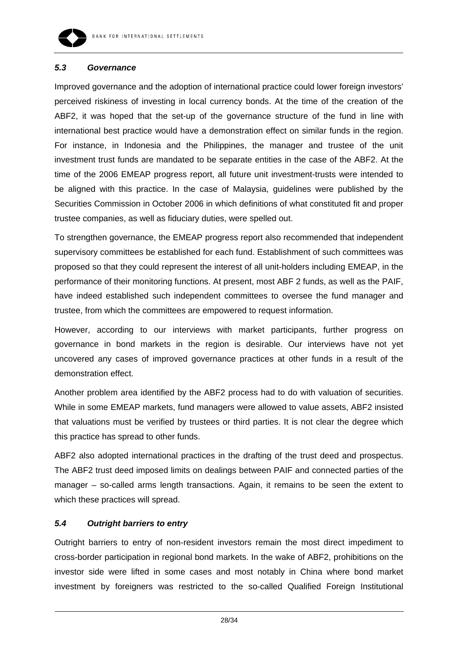

#### *5.3 Governance*

Improved governance and the adoption of international practice could lower foreign investors' perceived riskiness of investing in local currency bonds. At the time of the creation of the ABF2, it was hoped that the set-up of the governance structure of the fund in line with international best practice would have a demonstration effect on similar funds in the region. For instance, in Indonesia and the Philippines, the manager and trustee of the unit investment trust funds are mandated to be separate entities in the case of the ABF2. At the time of the 2006 EMEAP progress report, all future unit investment-trusts were intended to be aligned with this practice. In the case of Malaysia, guidelines were published by the Securities Commission in October 2006 in which definitions of what constituted fit and proper trustee companies, as well as fiduciary duties, were spelled out.

To strengthen governance, the EMEAP progress report also recommended that independent supervisory committees be established for each fund. Establishment of such committees was proposed so that they could represent the interest of all unit-holders including EMEAP, in the performance of their monitoring functions. At present, most ABF 2 funds, as well as the PAIF, have indeed established such independent committees to oversee the fund manager and trustee, from which the committees are empowered to request information.

However, according to our interviews with market participants, further progress on governance in bond markets in the region is desirable. Our interviews have not yet uncovered any cases of improved governance practices at other funds in a result of the demonstration effect.

Another problem area identified by the ABF2 process had to do with valuation of securities. While in some EMEAP markets, fund managers were allowed to value assets, ABF2 insisted that valuations must be verified by trustees or third parties. It is not clear the degree which this practice has spread to other funds.

ABF2 also adopted international practices in the drafting of the trust deed and prospectus. The ABF2 trust deed imposed limits on dealings between PAIF and connected parties of the manager – so-called arms length transactions. Again, it remains to be seen the extent to which these practices will spread.

#### *5.4 Outright barriers to entry*

Outright barriers to entry of non-resident investors remain the most direct impediment to cross-border participation in regional bond markets. In the wake of ABF2, prohibitions on the investor side were lifted in some cases and most notably in China where bond market investment by foreigners was restricted to the so-called Qualified Foreign Institutional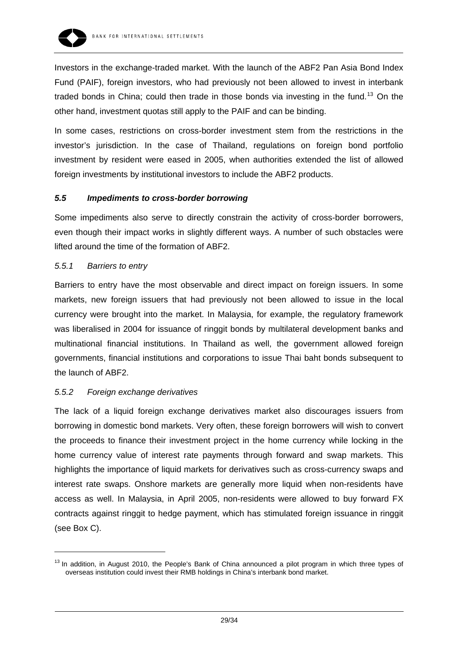

Investors in the exchange-traded market. With the launch of the ABF2 Pan Asia Bond Index Fund (PAIF), foreign investors, who had previously not been allowed to invest in interbank traded bonds in China; could then trade in those bonds via investing in the fund.<sup>[13](#page-28-0)</sup> On the other hand, investment quotas still apply to the PAIF and can be binding.

In some cases, restrictions on cross-border investment stem from the restrictions in the investor's jurisdiction. In the case of Thailand, regulations on foreign bond portfolio investment by resident were eased in 2005, when authorities extended the list of allowed foreign investments by institutional investors to include the ABF2 products.

#### *5.5 Impediments to cross-border borrowing*

Some impediments also serve to directly constrain the activity of cross-border borrowers, even though their impact works in slightly different ways. A number of such obstacles were lifted around the time of the formation of ABF2.

#### *5.5.1 Barriers to entry*

Barriers to entry have the most observable and direct impact on foreign issuers. In some markets, new foreign issuers that had previously not been allowed to issue in the local currency were brought into the market. In Malaysia, for example, the regulatory framework was liberalised in 2004 for issuance of ringgit bonds by multilateral development banks and multinational financial institutions. In Thailand as well, the government allowed foreign governments, financial institutions and corporations to issue Thai baht bonds subsequent to the launch of ABF2.

#### *5.5.2 Foreign exchange derivatives*

 $\overline{a}$ 

The lack of a liquid foreign exchange derivatives market also discourages issuers from borrowing in domestic bond markets. Very often, these foreign borrowers will wish to convert the proceeds to finance their investment project in the home currency while locking in the home currency value of interest rate payments through forward and swap markets. This highlights the importance of liquid markets for derivatives such as cross-currency swaps and interest rate swaps. Onshore markets are generally more liquid when non-residents have access as well. In Malaysia, in April 2005, non-residents were allowed to buy forward FX contracts against ringgit to hedge payment, which has stimulated foreign issuance in ringgit (see Box C).

<span id="page-28-0"></span><sup>&</sup>lt;sup>13</sup> In addition, in August 2010, the People's Bank of China announced a pilot program in which three types of overseas institution could invest their RMB holdings in China's interbank bond market.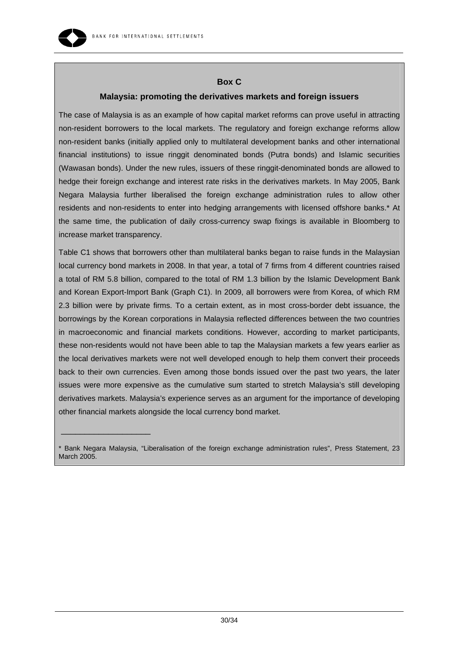

 $\_$ 

#### **Box C**

#### **Malaysia: promoting the derivatives markets and foreign issuers**

The case of Malaysia is as an example of how capital market reforms can prove useful in attracting non-resident borrowers to the local markets. The regulatory and foreign exchange reforms allow non-resident banks (initially applied only to multilateral development banks and other international financial institutions) to issue ringgit denominated bonds (Putra bonds) and Islamic securities (Wawasan bonds). Under the new rules, issuers of these ringgit-denominated bonds are allowed to hedge their foreign exchange and interest rate risks in the derivatives markets. In May 2005, Bank Negara Malaysia further liberalised the foreign exchange administration rules to allow other residents and non-residents to enter into hedging arrangements with licensed offshore banks.\* At the same time, the publication of daily cross-currency swap fixings is available in Bloomberg to increase market transparency.

Table C1 shows that borrowers other than multilateral banks began to raise funds in the Malaysian local currency bond markets in 2008. In that year, a total of 7 firms from 4 different countries raised a total of RM 5.8 billion, compared to the total of RM 1.3 billion by the Islamic Development Bank and Korean Export-Import Bank (Graph C1). In 2009, all borrowers were from Korea, of which RM 2.3 billion were by private firms. To a certain extent, as in most cross-border debt issuance, the borrowings by the Korean corporations in Malaysia reflected differences between the two countries in macroeconomic and financial markets conditions. However, according to market participants, these non-residents would not have been able to tap the Malaysian markets a few years earlier as the local derivatives markets were not well developed enough to help them convert their proceeds back to their own currencies. Even among those bonds issued over the past two years, the later issues were more expensive as the cumulative sum started to stretch Malaysia's still developing derivatives markets. Malaysia's experience serves as an argument for the importance of developing other financial markets alongside the local currency bond market.

<sup>\*</sup> Bank Negara Malaysia, "Liberalisation of the foreign exchange administration rules", Press Statement, 23 March 2005.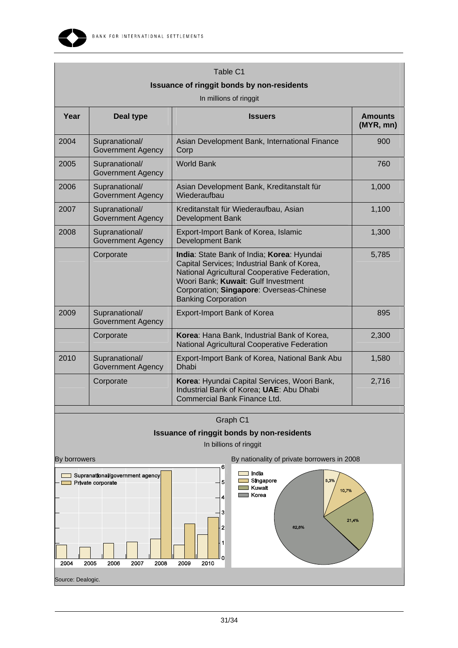

| Table C1<br><b>Issuance of ringgit bonds by non-residents</b><br>In millions of ringgit |                                            |                                                                                                                                                                                                                                                             |                             |  |  |
|-----------------------------------------------------------------------------------------|--------------------------------------------|-------------------------------------------------------------------------------------------------------------------------------------------------------------------------------------------------------------------------------------------------------------|-----------------------------|--|--|
| Year                                                                                    | Deal type                                  | <b>Issuers</b>                                                                                                                                                                                                                                              | <b>Amounts</b><br>(MYR, mn) |  |  |
| 2004                                                                                    | Supranational/<br><b>Government Agency</b> | Asian Development Bank, International Finance<br>Corp                                                                                                                                                                                                       | 900                         |  |  |
| 2005                                                                                    | Supranational/<br><b>Government Agency</b> | <b>World Bank</b>                                                                                                                                                                                                                                           | 760                         |  |  |
| 2006                                                                                    | Supranational/<br><b>Government Agency</b> | Asian Development Bank, Kreditanstalt für<br>Wiederaufbau                                                                                                                                                                                                   | 1,000                       |  |  |
| 2007                                                                                    | Supranational/<br><b>Government Agency</b> | Kreditanstalt für Wiederaufbau, Asian<br>Development Bank                                                                                                                                                                                                   | 1,100                       |  |  |
| 2008                                                                                    | Supranational/<br><b>Government Agency</b> | Export-Import Bank of Korea, Islamic<br>Development Bank                                                                                                                                                                                                    | 1,300                       |  |  |
|                                                                                         | Corporate                                  | India: State Bank of India; Korea: Hyundai<br>Capital Services; Industrial Bank of Korea,<br>National Agricultural Cooperative Federation,<br>Woori Bank; Kuwait: Gulf Investment<br>Corporation; Singapore: Overseas-Chinese<br><b>Banking Corporation</b> | 5,785                       |  |  |
| 2009                                                                                    | Supranational/<br><b>Government Agency</b> | Export-Import Bank of Korea                                                                                                                                                                                                                                 | 895                         |  |  |
|                                                                                         | Corporate                                  | Korea: Hana Bank, Industrial Bank of Korea,<br>National Agricultural Cooperative Federation                                                                                                                                                                 | 2,300                       |  |  |
| 2010                                                                                    | Supranational/<br><b>Government Agency</b> | Export-Import Bank of Korea, National Bank Abu<br><b>Dhabi</b>                                                                                                                                                                                              | 1,580                       |  |  |
|                                                                                         | Corporate                                  | Korea: Hyundai Capital Services, Woori Bank,<br>Industrial Bank of Korea; UAE: Abu Dhabi<br>Commercial Bank Finance Ltd.                                                                                                                                    | 2,716                       |  |  |
|                                                                                         |                                            | Graph C1                                                                                                                                                                                                                                                    |                             |  |  |



In billions of ringgit

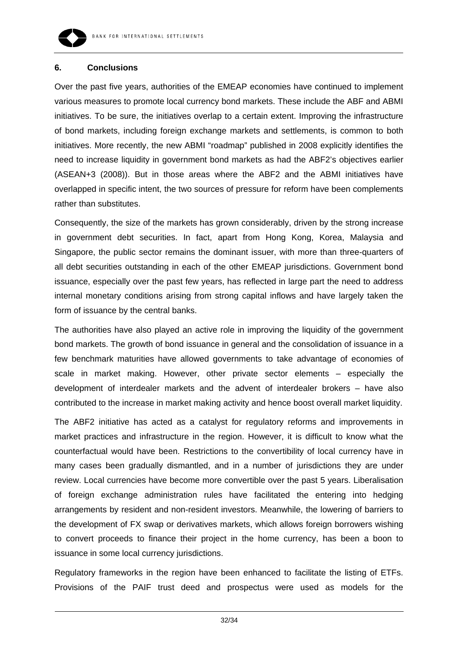

#### **6. Conclusions**

Over the past five years, authorities of the EMEAP economies have continued to implement various measures to promote local currency bond markets. These include the ABF and ABMI initiatives. To be sure, the initiatives overlap to a certain extent. Improving the infrastructure of bond markets, including foreign exchange markets and settlements, is common to both initiatives. More recently, the new ABMI "roadmap" published in 2008 explicitly identifies the need to increase liquidity in government bond markets as had the ABF2's objectives earlier (ASEAN+3 (2008)). But in those areas where the ABF2 and the ABMI initiatives have overlapped in specific intent, the two sources of pressure for reform have been complements rather than substitutes.

Consequently, the size of the markets has grown considerably, driven by the strong increase in government debt securities. In fact, apart from Hong Kong, Korea, Malaysia and Singapore, the public sector remains the dominant issuer, with more than three-quarters of all debt securities outstanding in each of the other EMEAP jurisdictions. Government bond issuance, especially over the past few years, has reflected in large part the need to address internal monetary conditions arising from strong capital inflows and have largely taken the form of issuance by the central banks.

The authorities have also played an active role in improving the liquidity of the government bond markets. The growth of bond issuance in general and the consolidation of issuance in a few benchmark maturities have allowed governments to take advantage of economies of scale in market making. However, other private sector elements – especially the development of interdealer markets and the advent of interdealer brokers – have also contributed to the increase in market making activity and hence boost overall market liquidity.

The ABF2 initiative has acted as a catalyst for regulatory reforms and improvements in market practices and infrastructure in the region. However, it is difficult to know what the counterfactual would have been. Restrictions to the convertibility of local currency have in many cases been gradually dismantled, and in a number of jurisdictions they are under review. Local currencies have become more convertible over the past 5 years. Liberalisation of foreign exchange administration rules have facilitated the entering into hedging arrangements by resident and non-resident investors. Meanwhile, the lowering of barriers to the development of FX swap or derivatives markets, which allows foreign borrowers wishing to convert proceeds to finance their project in the home currency, has been a boon to issuance in some local currency jurisdictions.

Regulatory frameworks in the region have been enhanced to facilitate the listing of ETFs. Provisions of the PAIF trust deed and prospectus were used as models for the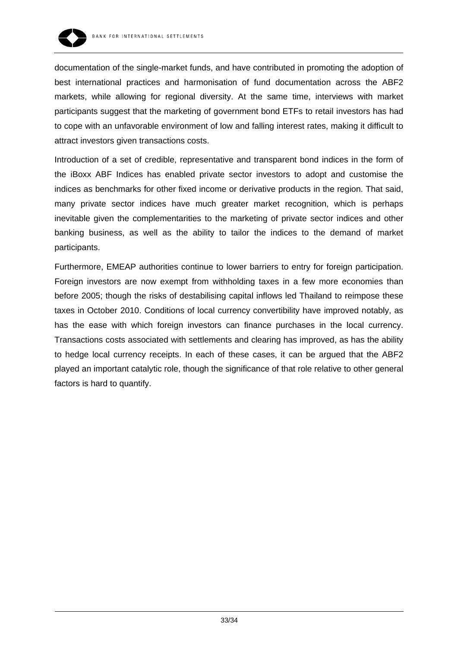

documentation of the single-market funds, and have contributed in promoting the adoption of best international practices and harmonisation of fund documentation across the ABF2 markets, while allowing for regional diversity. At the same time, interviews with market participants suggest that the marketing of government bond ETFs to retail investors has had to cope with an unfavorable environment of low and falling interest rates, making it difficult to attract investors given transactions costs.

Introduction of a set of credible, representative and transparent bond indices in the form of the iBoxx ABF Indices has enabled private sector investors to adopt and customise the indices as benchmarks for other fixed income or derivative products in the region. That said, many private sector indices have much greater market recognition, which is perhaps inevitable given the complementarities to the marketing of private sector indices and other banking business, as well as the ability to tailor the indices to the demand of market participants.

Furthermore, EMEAP authorities continue to lower barriers to entry for foreign participation. Foreign investors are now exempt from withholding taxes in a few more economies than before 2005; though the risks of destabilising capital inflows led Thailand to reimpose these taxes in October 2010. Conditions of local currency convertibility have improved notably, as has the ease with which foreign investors can finance purchases in the local currency. Transactions costs associated with settlements and clearing has improved, as has the ability to hedge local currency receipts. In each of these cases, it can be argued that the ABF2 played an important catalytic role, though the significance of that role relative to other general factors is hard to quantify.